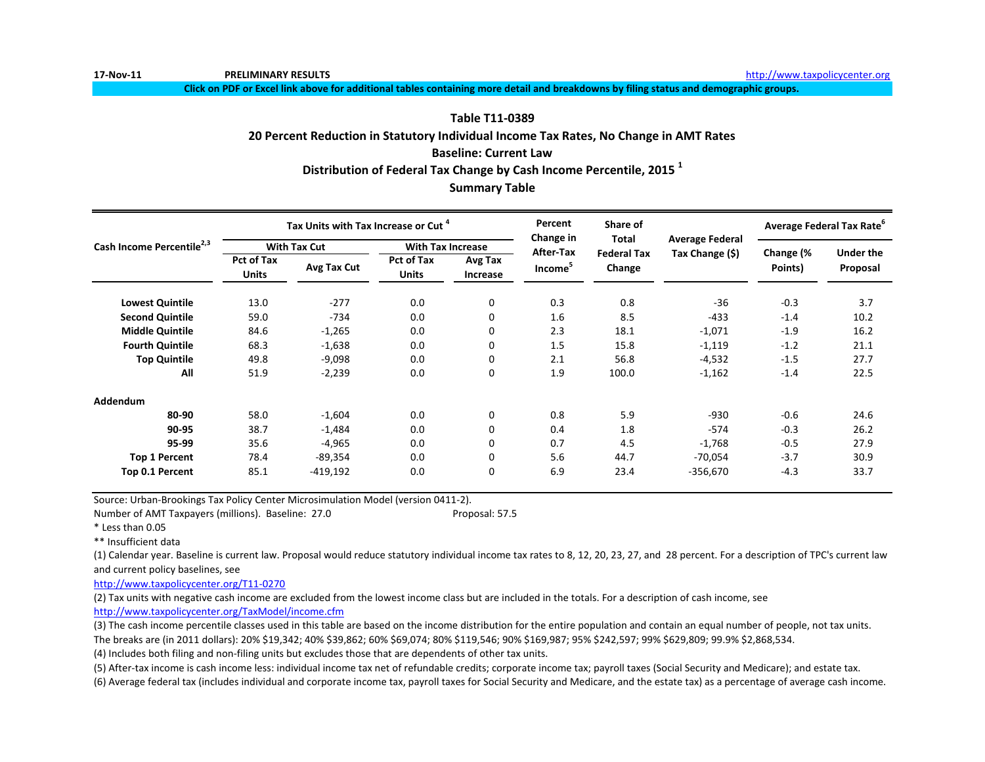**17-Nov-11 PRELIMINARY RESULTS** [h](http://www.taxpolicycenter.org/)ttp://www.taxpolicycenter.org

**Click on PDF or Excel link above for additional tables containing more detail and breakdowns by filing status and demographic groups.**

#### **Table T11-0389**

#### **20 Percent Reduction in Statutory Individual Income Tax Rates, No Change in AMT Rates**

#### **Baseline: Current Law**

#### **Distribution of Federal Tax Change by Cash Income Percentile, 2015 <sup>1</sup>**

#### **Summary Table**

|                                       |                                   | Tax Units with Tax Increase or Cut <sup>4</sup> |                                   |                     | Percent<br><b>Change in</b> | Share of<br>Total  | <b>Average Federal</b> | Average Federal Tax Rate <sup>o</sup> |                  |
|---------------------------------------|-----------------------------------|-------------------------------------------------|-----------------------------------|---------------------|-----------------------------|--------------------|------------------------|---------------------------------------|------------------|
| Cash Income Percentile <sup>2,3</sup> |                                   | <b>With Tax Cut</b>                             | <b>With Tax Increase</b>          |                     | <b>After-Tax</b>            | <b>Federal Tax</b> | Tax Change (\$)        | Change (%                             | <b>Under the</b> |
|                                       | <b>Pct of Tax</b><br><b>Units</b> | Avg Tax Cut                                     | <b>Pct of Tax</b><br><b>Units</b> | Avg Tax<br>Increase | Income <sup>5</sup>         | Change             |                        | Points)                               | Proposal         |
| <b>Lowest Quintile</b>                | 13.0                              | $-277$                                          | 0.0                               | 0                   | 0.3                         | 0.8                | $-36$                  | $-0.3$                                | 3.7              |
| <b>Second Quintile</b>                | 59.0                              | $-734$                                          | 0.0                               | 0                   | 1.6                         | 8.5                | $-433$                 | $-1.4$                                | 10.2             |
| <b>Middle Quintile</b>                | 84.6                              | $-1,265$                                        | 0.0                               | 0                   | 2.3                         | 18.1               | $-1,071$               | $-1.9$                                | 16.2             |
| <b>Fourth Quintile</b>                | 68.3                              | $-1,638$                                        | 0.0                               | 0                   | 1.5                         | 15.8               | $-1,119$               | $-1.2$                                | 21.1             |
| <b>Top Quintile</b>                   | 49.8                              | $-9,098$                                        | 0.0                               | 0                   | 2.1                         | 56.8               | $-4,532$               | $-1.5$                                | 27.7             |
| All                                   | 51.9                              | $-2,239$                                        | 0.0                               | 0                   | 1.9                         | 100.0              | $-1,162$               | $-1.4$                                | 22.5             |
| Addendum                              |                                   |                                                 |                                   |                     |                             |                    |                        |                                       |                  |
| 80-90                                 | 58.0                              | $-1,604$                                        | 0.0                               | 0                   | 0.8                         | 5.9                | $-930$                 | $-0.6$                                | 24.6             |
| 90-95                                 | 38.7                              | $-1,484$                                        | 0.0                               | 0                   | 0.4                         | 1.8                | $-574$                 | $-0.3$                                | 26.2             |
| 95-99                                 | 35.6                              | $-4,965$                                        | 0.0                               | 0                   | 0.7                         | 4.5                | $-1,768$               | $-0.5$                                | 27.9             |
| <b>Top 1 Percent</b>                  | 78.4                              | -89,354                                         | 0.0                               | 0                   | 5.6                         | 44.7               | $-70,054$              | $-3.7$                                | 30.9             |
| Top 0.1 Percent                       | 85.1                              | $-419,192$                                      | 0.0                               | 0                   | 6.9                         | 23.4               | $-356,670$             | $-4.3$                                | 33.7             |

Source: Urban-Brookings Tax Policy Center Microsimulation Model (version 0411-2).

Number of AMT Taxpayers (millions). Baseline: 27.0 Proposal: 57.5

\* Less than 0.05

\*\* Insufficient data

(1) Calendar year. Baseline is current law. Proposal would reduce statutory individual income tax rates to 8, 12, 20, 23, 27, and 28 percent. For a description of TPC's current law and current policy baselines, see

[http://www.taxpolicycente](http://www.taxpolicycenter.org/T11-0270)r.org/T11-0270

(2) Tax units with negative cash income are excluded from the lowest income class but are included in the totals. For a description of cash income, see [http://www.taxpolicycente](http://www.taxpolicycenter.org/TaxModel/income.cfm)r.org/TaxModel/income.cfm

(3) The cash income percentile classes used in this table are based on the income distribution for the entire population and contain an equal number of people, not tax units.

The breaks are (in 2011 dollars): 20% \$19,342; 40% \$39,862; 60% \$69,074; 80% \$119,546; 90% \$169,987; 95% \$242,597; 99% \$629,809; 99.9% \$2,868,534.

(4) Includes both filing and non-filing units but excludes those that are dependents of other tax units.

(5) After-tax income is cash income less: individual income tax net of refundable credits; corporate income tax; payroll taxes (Social Security and Medicare); and estate tax.

(6) Average federal tax (includes individual and corporate income tax, payroll taxes for Social Security and Medicare, and the estate tax) as a percentage of average cash income.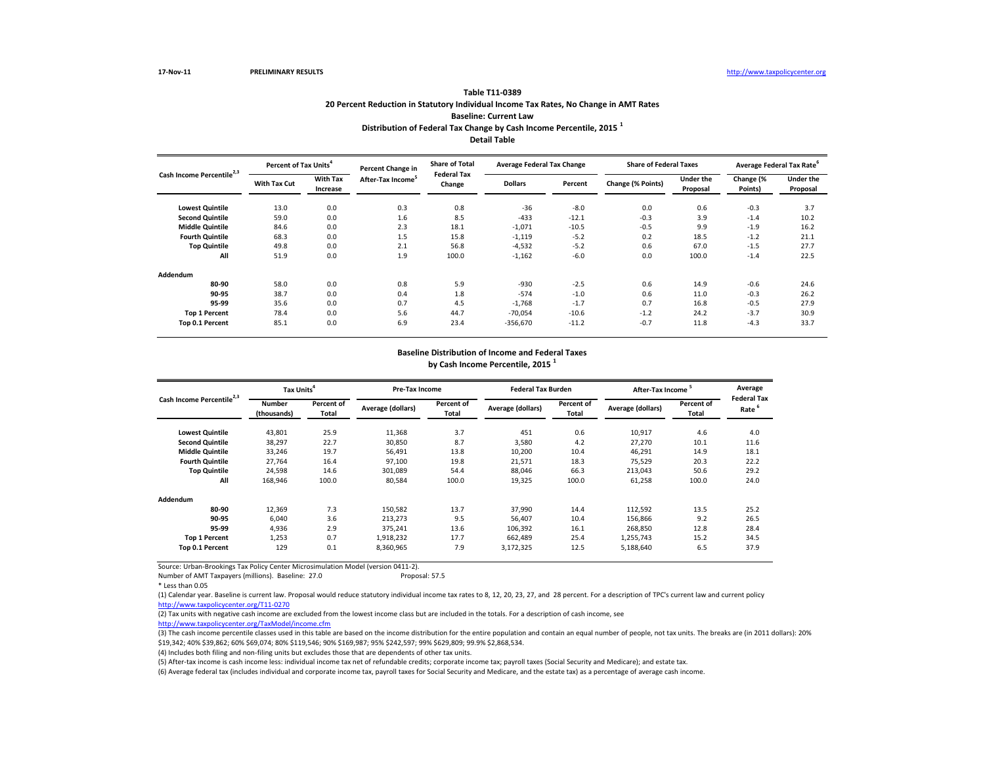(3) The cash income percentile classes used in this table are based on the income distribution for the entire population and contain an equal number of people, not tax units. The breaks are (in 2011 dollars): 20% \$19,342; 40% \$39,862; 60% \$69,074; 80% \$119,546; 90% \$169,987; 95% \$242,597; 99% \$629,809; 99.9% \$2,868,534.

Source: Urban-Brookings Tax Policy Center Microsimulation Model (version 0411-2).

Number of AMT Taxpayers (millions). Baseline: 27.0 Proposal: 57.5

| Cash Income Percentile <sup>2,3</sup> | Percent of Tax Units <sup>4</sup> |                             | Percent Change in             | <b>Share of Total</b><br><b>Federal Tax</b> | <b>Average Federal Tax Change</b> |         | <b>Share of Federal Taxes</b> |                              |                      | Average Federal Tax Rate <sup>o</sup> |
|---------------------------------------|-----------------------------------|-----------------------------|-------------------------------|---------------------------------------------|-----------------------------------|---------|-------------------------------|------------------------------|----------------------|---------------------------------------|
|                                       | <b>With Tax Cut</b>               | <b>With Tax</b><br>Increase | After-Tax Income <sup>5</sup> | Change                                      | <b>Dollars</b>                    | Percent | Change (% Points)             | <b>Under the</b><br>Proposal | Change (%<br>Points) | <b>Under the</b><br>Proposal          |
| <b>Lowest Quintile</b>                | 13.0                              | 0.0                         | 0.3                           | 0.8                                         | $-36$                             | $-8.0$  | 0.0                           | 0.6                          | $-0.3$               | 3.7                                   |
| <b>Second Quintile</b>                | 59.0                              | 0.0                         | 1.6                           | 8.5                                         | $-433$                            | $-12.1$ | $-0.3$                        | 3.9                          | $-1.4$               | 10.2                                  |
| <b>Middle Quintile</b>                | 84.6                              | 0.0                         | 2.3                           | 18.1                                        | $-1,071$                          | $-10.5$ | $-0.5$                        | 9.9                          | $-1.9$               | 16.2                                  |
| <b>Fourth Quintile</b>                | 68.3                              | 0.0                         | 1.5                           | 15.8                                        | $-1,119$                          | $-5.2$  | 0.2                           | 18.5                         | $-1.2$               | 21.1                                  |
| <b>Top Quintile</b>                   | 49.8                              | 0.0                         | 2.1                           | 56.8                                        | $-4,532$                          | $-5.2$  | 0.6                           | 67.0                         | $-1.5$               | 27.7                                  |
| All                                   | 51.9                              | 0.0                         | 1.9                           | 100.0                                       | $-1,162$                          | $-6.0$  | 0.0                           | 100.0                        | $-1.4$               | 22.5                                  |
| Addendum                              |                                   |                             |                               |                                             |                                   |         |                               |                              |                      |                                       |
| 80-90                                 | 58.0                              | 0.0                         | 0.8                           | 5.9                                         | $-930$                            | $-2.5$  | 0.6                           | 14.9                         | $-0.6$               | 24.6                                  |
| 90-95                                 | 38.7                              | 0.0                         | 0.4                           | 1.8                                         | $-574$                            | $-1.0$  | 0.6                           | 11.0                         | $-0.3$               | 26.2                                  |
| 95-99                                 | 35.6                              | 0.0                         | 0.7                           | 4.5                                         | $-1,768$                          | $-1.7$  | 0.7                           | 16.8                         | $-0.5$               | 27.9                                  |
| <b>Top 1 Percent</b>                  | 78.4                              | 0.0                         | 5.6                           | 44.7                                        | $-70,054$                         | $-10.6$ | $-1.2$                        | 24.2                         | $-3.7$               | 30.9                                  |
| Top 0.1 Percent                       | 85.1                              | 0.0                         | 6.9                           | 23.4                                        | $-356,670$                        | $-11.2$ | $-0.7$                        | 11.8                         | $-4.3$               | 33.7                                  |

(4) Includes both filing and non-filing units but excludes those that are dependents of other tax units.

| Cash Income Percentile <sup>2,3</sup> | Tax Units <sup>4</sup>       |                            | <b>Pre-Tax Income</b> |                     | <b>Federal Tax Burden</b> |                     | After-Tax Income  |                            | Average<br><b>Federal Tax</b> |
|---------------------------------------|------------------------------|----------------------------|-----------------------|---------------------|---------------------------|---------------------|-------------------|----------------------------|-------------------------------|
|                                       | <b>Number</b><br>(thousands) | Percent of<br><b>Total</b> | Average (dollars)     | Percent of<br>Total | Average (dollars)         | Percent of<br>Total | Average (dollars) | Percent of<br><b>Total</b> | Rate <sup>6</sup>             |
| <b>Lowest Quintile</b>                | 43,801                       | 25.9                       | 11,368                | 3.7                 | 451                       | 0.6                 | 10,917            | 4.6                        | 4.0                           |
| <b>Second Quintile</b>                | 38,297                       | 22.7                       | 30,850                | 8.7                 | 3,580                     | 4.2                 | 27,270            | 10.1                       | 11.6                          |
| <b>Middle Quintile</b>                | 33,246                       | 19.7                       | 56,491                | 13.8                | 10,200                    | 10.4                | 46,291            | 14.9                       | 18.1                          |
| <b>Fourth Quintile</b>                | 27,764                       | 16.4                       | 97,100                | 19.8                | 21,571                    | 18.3                | 75,529            | 20.3                       | 22.2                          |
| <b>Top Quintile</b>                   | 24,598                       | 14.6                       | 301,089               | 54.4                | 88,046                    | 66.3                | 213,043           | 50.6                       | 29.2                          |
| All                                   | 168,946                      | 100.0                      | 80,584                | 100.0               | 19,325                    | 100.0               | 61,258            | 100.0                      | 24.0                          |
| Addendum                              |                              |                            |                       |                     |                           |                     |                   |                            |                               |
| 80-90                                 | 12,369                       | 7.3                        | 150,582               | 13.7                | 37,990                    | 14.4                | 112,592           | 13.5                       | 25.2                          |
| 90-95                                 | 6,040                        | 3.6                        | 213,273               | 9.5                 | 56,407                    | 10.4                | 156,866           | 9.2                        | 26.5                          |
| 95-99                                 | 4,936                        | 2.9                        | 375,241               | 13.6                | 106,392                   | 16.1                | 268,850           | 12.8                       | 28.4                          |
| <b>Top 1 Percent</b>                  | 1,253                        | 0.7                        | 1,918,232             | 17.7                | 662,489                   | 25.4                | 1,255,743         | 15.2                       | 34.5                          |
| Top 0.1 Percent                       | 129                          | 0.1                        | 8,360,965             | 7.9                 | 3,172,325                 | 12.5                | 5,188,640         | 6.5                        | 37.9                          |

(5) After-tax income is cash income less: individual income tax net of refundable credits; corporate income tax; payroll taxes (Social Security and Medicare); and estate tax. (6) Average federal tax (includes individual and corporate income tax, payroll taxes for Social Security and Medicare, and the estate tax) as a percentage of average cash income.

(1) Calendar year. Baseline is current law. Proposal would reduce statutory individual income tax rates to 8, 12, 20, 23, 27, and 28 percent. For a description of TPC's current law and current policy [http://www.taxpolicycente](http://www.taxpolicycenter.org/T11-0270)r.org/T11-0270

(2) Tax units with negative cash income are excluded from the lowest income class but are included in the totals. For a description of cash income, see

[http://www.taxpolicycente](http://www.taxpolicycenter.org/TaxModel/income.cfm)r.org/TaxModel/income.cfm

### **Baseline Distribution of Income and Federal Taxes by Cash Income Percentile, 2015 <sup>1</sup>**

**Detail Table**

**Table T11-0389 20 Percent Reduction in Statutory Individual Income Tax Rates, No Change in AMT Rates Baseline: Current Law**

**Distribution of Federal Tax Change by Cash Income Percentile, 2015 <sup>1</sup>**

<sup>\*</sup> Less than 0.05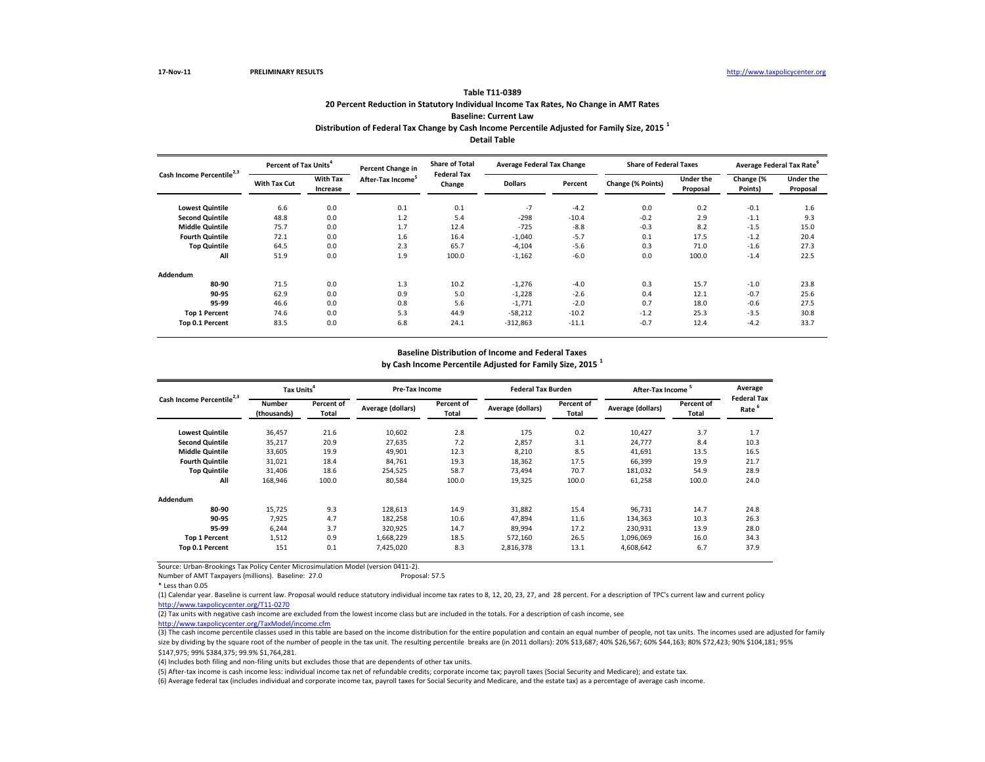Source: Urban-Brookings Tax Policy Center Microsimulation Model (version 0411-2).

Number of AMT Taxpayers (millions). Baseline: 27.0 Proposal: 57.5

| Cash Income Percentile <sup>2,3</sup> | Percent of Tax Units <sup>4</sup> |                             | <b>Percent Change in</b>      | <b>Share of Total</b><br><b>Federal Tax</b> | <b>Average Federal Tax Change</b> |         | <b>Share of Federal Taxes</b> |                       | Average Federal Tax Rate <sup>6</sup> |                              |
|---------------------------------------|-----------------------------------|-----------------------------|-------------------------------|---------------------------------------------|-----------------------------------|---------|-------------------------------|-----------------------|---------------------------------------|------------------------------|
|                                       | <b>With Tax Cut</b>               | <b>With Tax</b><br>Increase | After-Tax Income <sup>5</sup> | Change                                      | <b>Dollars</b>                    | Percent | Change (% Points)             | Under the<br>Proposal | Change (%<br>Points)                  | <b>Under the</b><br>Proposal |
| <b>Lowest Quintile</b>                | 6.6                               | 0.0                         | 0.1                           | 0.1                                         | $-7$                              | $-4.2$  | 0.0                           | 0.2                   | $-0.1$                                | 1.6                          |
| <b>Second Quintile</b>                | 48.8                              | 0.0                         | 1.2                           | 5.4                                         | $-298$                            | $-10.4$ | $-0.2$                        | 2.9                   | $-1.1$                                | 9.3                          |
| <b>Middle Quintile</b>                | 75.7                              | 0.0                         | 1.7                           | 12.4                                        | $-725$                            | $-8.8$  | $-0.3$                        | 8.2                   | $-1.5$                                | 15.0                         |
| <b>Fourth Quintile</b>                | 72.1                              | 0.0                         | 1.6                           | 16.4                                        | $-1,040$                          | $-5.7$  | 0.1                           | 17.5                  | $-1.2$                                | 20.4                         |
| <b>Top Quintile</b>                   | 64.5                              | 0.0                         | 2.3                           | 65.7                                        | $-4,104$                          | $-5.6$  | 0.3                           | 71.0                  | $-1.6$                                | 27.3                         |
| All                                   | 51.9                              | 0.0                         | 1.9                           | 100.0                                       | $-1,162$                          | $-6.0$  | 0.0                           | 100.0                 | $-1.4$                                | 22.5                         |
| <b>Addendum</b>                       |                                   |                             |                               |                                             |                                   |         |                               |                       |                                       |                              |
| 80-90                                 | 71.5                              | 0.0                         | 1.3                           | 10.2                                        | $-1,276$                          | $-4.0$  | 0.3                           | 15.7                  | $-1.0$                                | 23.8                         |
| 90-95                                 | 62.9                              | 0.0                         | 0.9                           | 5.0                                         | $-1,228$                          | $-2.6$  | 0.4                           | 12.1                  | $-0.7$                                | 25.6                         |
| 95-99                                 | 46.6                              | 0.0                         | 0.8                           | 5.6                                         | $-1,771$                          | $-2.0$  | 0.7                           | 18.0                  | $-0.6$                                | 27.5                         |
| <b>Top 1 Percent</b>                  | 74.6                              | 0.0                         | 5.3                           | 44.9                                        | $-58,212$                         | $-10.2$ | $-1.2$                        | 25.3                  | $-3.5$                                | 30.8                         |
| Top 0.1 Percent                       | 83.5                              | 0.0                         | 6.8                           | 24.1                                        | $-312,863$                        | $-11.1$ | $-0.7$                        | 12.4                  | $-4.2$                                | 33.7                         |

|                                       | Tax Units <sup>4</sup>       |                     | <b>Pre-Tax Income</b> |                            | <b>Federal Tax Burden</b> |                     | After-Tax Income <sup>5</sup> |                            | Average<br><b>Federal Tax</b> |
|---------------------------------------|------------------------------|---------------------|-----------------------|----------------------------|---------------------------|---------------------|-------------------------------|----------------------------|-------------------------------|
| Cash Income Percentile <sup>2,3</sup> | <b>Number</b><br>(thousands) | Percent of<br>Total | Average (dollars)     | Percent of<br><b>Total</b> | Average (dollars)         | Percent of<br>Total | Average (dollars)             | <b>Percent of</b><br>Total | Rate <sup>6</sup>             |
| <b>Lowest Quintile</b>                | 36,457                       | 21.6                | 10,602                | 2.8                        | 175                       | 0.2                 | 10,427                        | 3.7                        | 1.7                           |
| <b>Second Quintile</b>                | 35,217                       | 20.9                | 27,635                | 7.2                        | 2,857                     | 3.1                 | 24,777                        | 8.4                        | 10.3                          |
| <b>Middle Quintile</b>                | 33,605                       | 19.9                | 49,901                | 12.3                       | 8,210                     | 8.5                 | 41,691                        | 13.5                       | 16.5                          |
| <b>Fourth Quintile</b>                | 31,021                       | 18.4                | 84,761                | 19.3                       | 18,362                    | 17.5                | 66,399                        | 19.9                       | 21.7                          |
| <b>Top Quintile</b>                   | 31,406                       | 18.6                | 254,525               | 58.7                       | 73,494                    | 70.7                | 181,032                       | 54.9                       | 28.9                          |
| All                                   | 168,946                      | 100.0               | 80,584                | 100.0                      | 19,325                    | 100.0               | 61,258                        | 100.0                      | 24.0                          |
| Addendum                              |                              |                     |                       |                            |                           |                     |                               |                            |                               |
| 80-90                                 | 15,725                       | 9.3                 | 128,613               | 14.9                       | 31,882                    | 15.4                | 96,731                        | 14.7                       | 24.8                          |
| 90-95                                 | 7,925                        | 4.7                 | 182,258               | 10.6                       | 47,894                    | 11.6                | 134,363                       | 10.3                       | 26.3                          |
| 95-99                                 | 6,244                        | 3.7                 | 320,925               | 14.7                       | 89,994                    | 17.2                | 230,931                       | 13.9                       | 28.0                          |
| <b>Top 1 Percent</b>                  | 1,512                        | 0.9                 | 1,668,229             | 18.5                       | 572,160                   | 26.5                | 1,096,069                     | 16.0                       | 34.3                          |
| Top 0.1 Percent                       | 151                          | 0.1                 | 7,425,020             | 8.3                        | 2,816,378                 | 13.1                | 4,608,642                     | 6.7                        | 37.9                          |

(4) Includes both filing and non-filing units but excludes those that are dependents of other tax units.

(5) After-tax income is cash income less: individual income tax net of refundable credits; corporate income tax; payroll taxes (Social Security and Medicare); and estate tax. (6) Average federal tax (includes individual and corporate income tax, payroll taxes for Social Security and Medicare, and the estate tax) as a percentage of average cash income.

(1) Calendar year. Baseline is current law. Proposal would reduce statutory individual income tax rates to 8, 12, 20, 23, 27, and 28 percent. For a description of TPC's current law and current policy [http://www.taxpolicycente](http://www.taxpolicycenter.org/T11-0270)r.org/T11-0270

(2) Tax units with negative cash income are excluded from the lowest income class but are included in the totals. For a description of cash income, see [http://www.taxpolicycente](http://www.taxpolicycenter.org/TaxModel/income.cfm)r.org/TaxModel/income.cfm

### **Baseline Distribution of Income and Federal Taxes by Cash Income Percentile Adjusted for Family Size, 2015 <sup>1</sup>**

## **Distribution of Federal Tax Change by Cash Income Percentile Adjusted for Family Size, 2015 <sup>1</sup> Detail Table**

<sup>\*</sup> Less than 0.05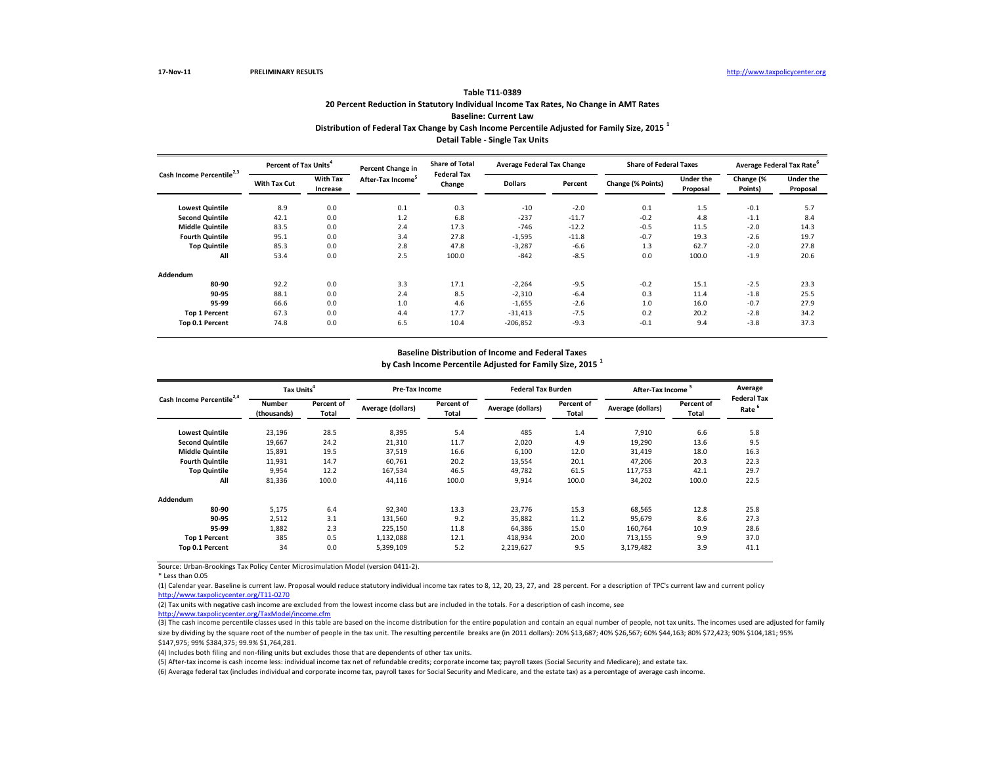Source: Urban-Brookings Tax Policy Center Microsimulation Model (version 0411-2).

\* Less than 0.05

(5) After-tax income is cash income less: individual income tax net of refundable credits; corporate income tax; payroll taxes (Social Security and Medicare); and estate tax. (6) Average federal tax (includes individual and corporate income tax, payroll taxes for Social Security and Medicare, and the estate tax) as a percentage of average cash income.

| Cash Income Percentile <sup>2,3</sup> |                     | Percent of Tax Units <sup>4</sup> |                               | <b>Share of Total</b><br>Percent Change in | <b>Average Federal Tax Change</b> |         | <b>Share of Federal Taxes</b> |                              | Average Federal Tax Rate <sup>6</sup> |                              |
|---------------------------------------|---------------------|-----------------------------------|-------------------------------|--------------------------------------------|-----------------------------------|---------|-------------------------------|------------------------------|---------------------------------------|------------------------------|
|                                       | <b>With Tax Cut</b> | <b>With Tax</b><br>Increase       | After-Tax Income <sup>5</sup> | <b>Federal Tax</b><br>Change               | <b>Dollars</b>                    | Percent | Change (% Points)             | <b>Under the</b><br>Proposal | Change (%<br>Points)                  | <b>Under the</b><br>Proposal |
| <b>Lowest Quintile</b>                | 8.9                 | 0.0                               | 0.1                           | 0.3                                        | $-10$                             | $-2.0$  | 0.1                           | 1.5                          | $-0.1$                                | 5.7                          |
| <b>Second Quintile</b>                | 42.1                | 0.0                               | 1.2                           | 6.8                                        | $-237$                            | $-11.7$ | $-0.2$                        | 4.8                          | $-1.1$                                | 8.4                          |
| <b>Middle Quintile</b>                | 83.5                | 0.0                               | 2.4                           | 17.3                                       | -746                              | $-12.2$ | $-0.5$                        | 11.5                         | $-2.0$                                | 14.3                         |
| <b>Fourth Quintile</b>                | 95.1                | 0.0                               | 3.4                           | 27.8                                       | $-1,595$                          | $-11.8$ | $-0.7$                        | 19.3                         | $-2.6$                                | 19.7                         |
| <b>Top Quintile</b>                   | 85.3                | 0.0                               | 2.8                           | 47.8                                       | $-3,287$                          | $-6.6$  | 1.3                           | 62.7                         | $-2.0$                                | 27.8                         |
| All                                   | 53.4                | 0.0                               | 2.5                           | 100.0                                      | $-842$                            | $-8.5$  | 0.0                           | 100.0                        | $-1.9$                                | 20.6                         |
| <b>Addendum</b>                       |                     |                                   |                               |                                            |                                   |         |                               |                              |                                       |                              |
| 80-90                                 | 92.2                | 0.0                               | 3.3                           | 17.1                                       | $-2,264$                          | $-9.5$  | $-0.2$                        | 15.1                         | $-2.5$                                | 23.3                         |
| 90-95                                 | 88.1                | 0.0                               | 2.4                           | 8.5                                        | $-2,310$                          | $-6.4$  | 0.3                           | 11.4                         | $-1.8$                                | 25.5                         |
| 95-99                                 | 66.6                | 0.0                               | 1.0                           | 4.6                                        | $-1,655$                          | $-2.6$  | 1.0                           | 16.0                         | $-0.7$                                | 27.9                         |
| <b>Top 1 Percent</b>                  | 67.3                | 0.0                               | 4.4                           | 17.7                                       | $-31,413$                         | $-7.5$  | 0.2                           | 20.2                         | $-2.8$                                | 34.2                         |
| <b>Top 0.1 Percent</b>                | 74.8                | 0.0                               | 6.5                           | 10.4                                       | $-206,852$                        | $-9.3$  | $-0.1$                        | 9.4                          | $-3.8$                                | 37.3                         |

|                                       | Tax Units <sup>4</sup>       |                     | <b>Pre-Tax Income</b> |                            | <b>Federal Tax Burden</b> |                            | After-Tax Income <sup>5</sup> |                            | Average<br><b>Federal Tax</b> |
|---------------------------------------|------------------------------|---------------------|-----------------------|----------------------------|---------------------------|----------------------------|-------------------------------|----------------------------|-------------------------------|
| Cash Income Percentile <sup>2,3</sup> | <b>Number</b><br>(thousands) | Percent of<br>Total | Average (dollars)     | Percent of<br><b>Total</b> | Average (dollars)         | Percent of<br><b>Total</b> | <b>Average (dollars)</b>      | <b>Percent of</b><br>Total | Rate <sup>6</sup>             |
| <b>Lowest Quintile</b>                | 23,196                       | 28.5                | 8,395                 | 5.4                        | 485                       | 1.4                        | 7,910                         | 6.6                        | 5.8                           |
| <b>Second Quintile</b>                | 19,667                       | 24.2                | 21,310                | 11.7                       | 2,020                     | 4.9                        | 19,290                        | 13.6                       | 9.5                           |
| <b>Middle Quintile</b>                | 15,891                       | 19.5                | 37,519                | 16.6                       | 6,100                     | 12.0                       | 31,419                        | 18.0                       | 16.3                          |
| <b>Fourth Quintile</b>                | 11,931                       | 14.7                | 60,761                | 20.2                       | 13,554                    | 20.1                       | 47,206                        | 20.3                       | 22.3                          |
| <b>Top Quintile</b>                   | 9,954                        | 12.2                | 167,534               | 46.5                       | 49,782                    | 61.5                       | 117,753                       | 42.1                       | 29.7                          |
| All                                   | 81,336                       | 100.0               | 44,116                | 100.0                      | 9,914                     | 100.0                      | 34,202                        | 100.0                      | 22.5                          |
| Addendum                              |                              |                     |                       |                            |                           |                            |                               |                            |                               |
| 80-90                                 | 5,175                        | 6.4                 | 92,340                | 13.3                       | 23,776                    | 15.3                       | 68,565                        | 12.8                       | 25.8                          |
| 90-95                                 | 2,512                        | 3.1                 | 131,560               | 9.2                        | 35,882                    | 11.2                       | 95,679                        | 8.6                        | 27.3                          |
| 95-99                                 | 1,882                        | 2.3                 | 225,150               | 11.8                       | 64,386                    | 15.0                       | 160,764                       | 10.9                       | 28.6                          |
| <b>Top 1 Percent</b>                  | 385                          | 0.5                 | 1,132,088             | 12.1                       | 418,934                   | 20.0                       | 713,155                       | 9.9                        | 37.0                          |
| Top 0.1 Percent                       | 34                           | 0.0                 | 5,399,109             | 5.2                        | 2,219,627                 | 9.5                        | 3,179,482                     | 3.9                        | 41.1                          |

(1) Calendar year. Baseline is current law. Proposal would reduce statutory individual income tax rates to 8, 12, 20, 23, 27, and 28 percent. For a description of TPC's current law and current policy [http://www.taxpolicycente](http://www.taxpolicycenter.org/T11-0270)r.org/T11-0270

(2) Tax units with negative cash income are excluded from the lowest income class but are included in the totals. For a description of cash income, see [http://www.taxpolicycente](http://www.taxpolicycenter.org/TaxModel/income.cfm)r.org/TaxModel/income.cfm

(4) Includes both filing and non-filing units but excludes those that are dependents of other tax units.

### **Baseline Distribution of Income and Federal Taxes by Cash Income Percentile Adjusted for Family Size, 2015 <sup>1</sup>**

## **Distribution of Federal Tax Change by Cash Income Percentile Adjusted for Family Size, 2015 <sup>1</sup> Detail Table - Single Tax Units**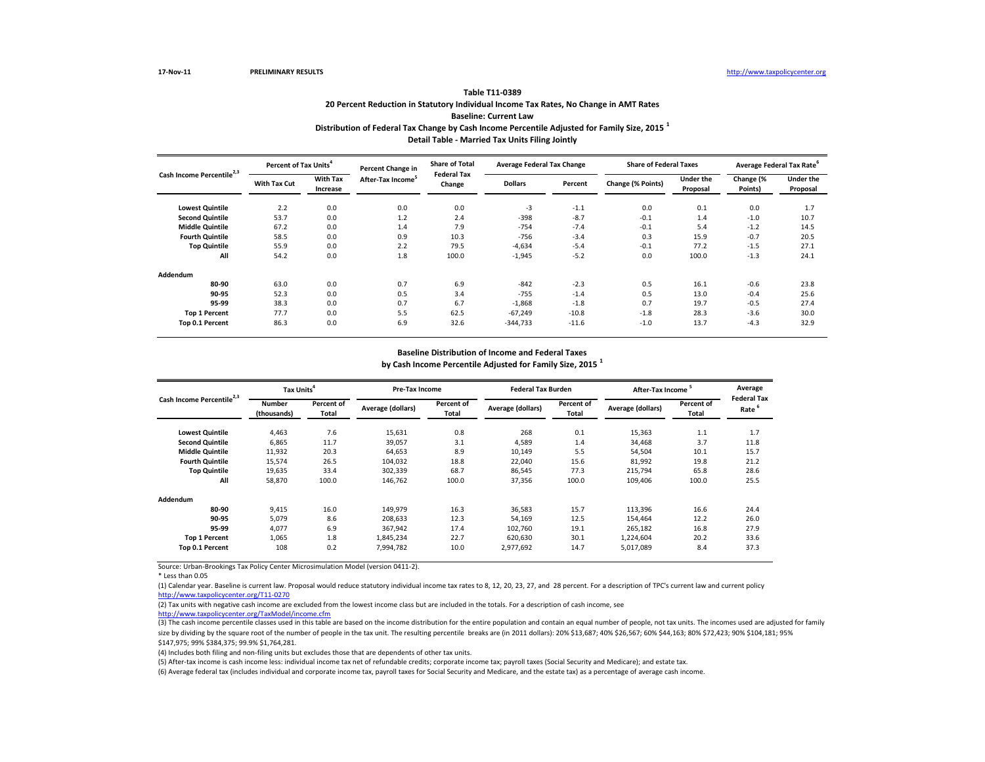Source: Urban-Brookings Tax Policy Center Microsimulation Model (version 0411-2).

\* Less than 0.05

(5) After-tax income is cash income less: individual income tax net of refundable credits; corporate income tax; payroll taxes (Social Security and Medicare); and estate tax. (6) Average federal tax (includes individual and corporate income tax, payroll taxes for Social Security and Medicare, and the estate tax) as a percentage of average cash income.

| Cash Income Percentile <sup>2,3</sup> |                     | <b>Percent of Tax Units</b> |                               | <b>Share of Total</b><br>Percent Change in | <b>Average Federal Tax Change</b> |         | <b>Share of Federal Taxes</b> |                              | Average Federal Tax Rate <sup>6</sup> |                              |
|---------------------------------------|---------------------|-----------------------------|-------------------------------|--------------------------------------------|-----------------------------------|---------|-------------------------------|------------------------------|---------------------------------------|------------------------------|
|                                       | <b>With Tax Cut</b> | <b>With Tax</b><br>Increase | After-Tax Income <sup>5</sup> | <b>Federal Tax</b><br>Change               | <b>Dollars</b>                    | Percent | Change (% Points)             | <b>Under the</b><br>Proposal | Change (%<br>Points)                  | <b>Under the</b><br>Proposal |
| <b>Lowest Quintile</b>                | 2.2                 | 0.0                         | 0.0                           | 0.0                                        | $-3$                              | $-1.1$  | 0.0                           | 0.1                          | 0.0                                   | 1.7                          |
| <b>Second Quintile</b>                | 53.7                | 0.0                         | 1.2                           | 2.4                                        | $-398$                            | $-8.7$  | $-0.1$                        | 1.4                          | $-1.0$                                | 10.7                         |
| <b>Middle Quintile</b>                | 67.2                | 0.0                         | 1.4                           | 7.9                                        | $-754$                            | $-7.4$  | $-0.1$                        | 5.4                          | $-1.2$                                | 14.5                         |
| <b>Fourth Quintile</b>                | 58.5                | 0.0                         | 0.9                           | 10.3                                       | -756                              | $-3.4$  | 0.3                           | 15.9                         | $-0.7$                                | 20.5                         |
| <b>Top Quintile</b>                   | 55.9                | 0.0                         | 2.2                           | 79.5                                       | $-4,634$                          | $-5.4$  | $-0.1$                        | 77.2                         | $-1.5$                                | 27.1                         |
| All                                   | 54.2                | 0.0                         | 1.8                           | 100.0                                      | $-1,945$                          | $-5.2$  | 0.0                           | 100.0                        | $-1.3$                                | 24.1                         |
| <b>Addendum</b>                       |                     |                             |                               |                                            |                                   |         |                               |                              |                                       |                              |
| 80-90                                 | 63.0                | 0.0                         | 0.7                           | 6.9                                        | $-842$                            | $-2.3$  | 0.5                           | 16.1                         | $-0.6$                                | 23.8                         |
| 90-95                                 | 52.3                | 0.0                         | 0.5                           | 3.4                                        | $-755$                            | $-1.4$  | 0.5                           | 13.0                         | $-0.4$                                | 25.6                         |
| 95-99                                 | 38.3                | 0.0                         | 0.7                           | 6.7                                        | $-1,868$                          | $-1.8$  | 0.7                           | 19.7                         | $-0.5$                                | 27.4                         |
| <b>Top 1 Percent</b>                  | 77.7                | 0.0                         | 5.5                           | 62.5                                       | $-67,249$                         | $-10.8$ | $-1.8$                        | 28.3                         | $-3.6$                                | 30.0                         |
| Top 0.1 Percent                       | 86.3                | 0.0                         | 6.9                           | 32.6                                       | $-344,733$                        | $-11.6$ | $-1.0$                        | 13.7                         | $-4.3$                                | 32.9                         |

| Cash Income Percentile <sup>2,3</sup> | Tax Units <sup>4</sup>       |                            | <b>Pre-Tax Income</b> |                            | <b>Federal Tax Burden</b> |                            | After-Tax Income  |                            | Average                                 |
|---------------------------------------|------------------------------|----------------------------|-----------------------|----------------------------|---------------------------|----------------------------|-------------------|----------------------------|-----------------------------------------|
|                                       | <b>Number</b><br>(thousands) | Percent of<br><b>Total</b> | Average (dollars)     | Percent of<br><b>Total</b> | Average (dollars)         | Percent of<br><b>Total</b> | Average (dollars) | Percent of<br><b>Total</b> | <b>Federal Tax</b><br>Rate <sup>6</sup> |
| <b>Lowest Quintile</b>                | 4,463                        | 7.6                        | 15,631                | 0.8                        | 268                       | 0.1                        | 15,363            | 1.1                        | 1.7                                     |
| <b>Second Quintile</b>                | 6,865                        | 11.7                       | 39,057                | 3.1                        | 4,589                     | 1.4                        | 34,468            | 3.7                        | 11.8                                    |
| <b>Middle Quintile</b>                | 11,932                       | 20.3                       | 64,653                | 8.9                        | 10,149                    | 5.5                        | 54,504            | 10.1                       | 15.7                                    |
| <b>Fourth Quintile</b>                | 15,574                       | 26.5                       | 104,032               | 18.8                       | 22,040                    | 15.6                       | 81,992            | 19.8                       | 21.2                                    |
| <b>Top Quintile</b>                   | 19,635                       | 33.4                       | 302,339               | 68.7                       | 86,545                    | 77.3                       | 215,794           | 65.8                       | 28.6                                    |
| All                                   | 58,870                       | 100.0                      | 146,762               | 100.0                      | 37,356                    | 100.0                      | 109,406           | 100.0                      | 25.5                                    |
| Addendum                              |                              |                            |                       |                            |                           |                            |                   |                            |                                         |
| 80-90                                 | 9,415                        | 16.0                       | 149,979               | 16.3                       | 36,583                    | 15.7                       | 113,396           | 16.6                       | 24.4                                    |
| 90-95                                 | 5,079                        | 8.6                        | 208,633               | 12.3                       | 54,169                    | 12.5                       | 154,464           | 12.2                       | 26.0                                    |
| 95-99                                 | 4,077                        | 6.9                        | 367,942               | 17.4                       | 102,760                   | 19.1                       | 265,182           | 16.8                       | 27.9                                    |
| <b>Top 1 Percent</b>                  | 1,065                        | 1.8                        | 1,845,234             | 22.7                       | 620,630                   | 30.1                       | 1,224,604         | 20.2                       | 33.6                                    |
| Top 0.1 Percent                       | 108                          | 0.2                        | 7,994,782             | 10.0                       | 2,977,692                 | 14.7                       | 5,017,089         | 8.4                        | 37.3                                    |

(1) Calendar year. Baseline is current law. Proposal would reduce statutory individual income tax rates to 8, 12, 20, 23, 27, and 28 percent. For a description of TPC's current law and current policy [http://www.taxpolicycente](http://www.taxpolicycenter.org/T11-0270)r.org/T11-0270

(2) Tax units with negative cash income are excluded from the lowest income class but are included in the totals. For a description of cash income, see [http://www.taxpolicycente](http://www.taxpolicycenter.org/TaxModel/income.cfm)r.org/TaxModel/income.cfm

(4) Includes both filing and non-filing units but excludes those that are dependents of other tax units.

### **Baseline Distribution of Income and Federal Taxes by Cash Income Percentile Adjusted for Family Size, 2015 <sup>1</sup>**

## **Distribution of Federal Tax Change by Cash Income Percentile Adjusted for Family Size, 2015 <sup>1</sup> Detail Table - Married Tax Units Filing Jointly**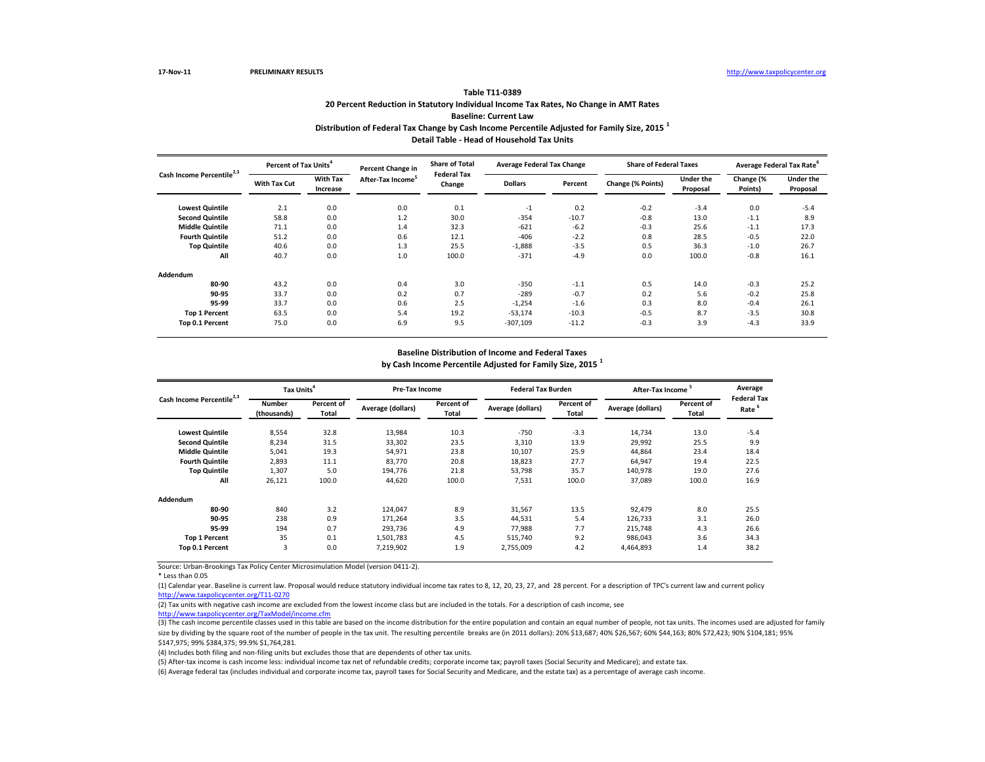Source: Urban-Brookings Tax Policy Center Microsimulation Model (version 0411-2).

\* Less than 0.05

(5) After-tax income is cash income less: individual income tax net of refundable credits; corporate income tax; payroll taxes (Social Security and Medicare); and estate tax. (6) Average federal tax (includes individual and corporate income tax, payroll taxes for Social Security and Medicare, and the estate tax) as a percentage of average cash income.

| Cash Income Percentile <sup>2,3</sup> | Percent of Tax Units <sup>4</sup> |                             | <b>Percent Change in</b> | <b>Share of Total</b><br><b>Federal Tax</b> | <b>Average Federal Tax Change</b> |         | <b>Share of Federal Taxes</b> |                              | Average Federal Tax Rate <sup>6</sup> |                              |
|---------------------------------------|-----------------------------------|-----------------------------|--------------------------|---------------------------------------------|-----------------------------------|---------|-------------------------------|------------------------------|---------------------------------------|------------------------------|
|                                       | <b>With Tax Cut</b>               | <b>With Tax</b><br>Increase | After-Tax Income         | Change                                      | <b>Dollars</b>                    | Percent | Change (% Points)             | <b>Under the</b><br>Proposal | Change (%<br>Points)                  | <b>Under the</b><br>Proposal |
| <b>Lowest Quintile</b>                | 2.1                               | 0.0                         | 0.0                      | 0.1                                         | $-1$                              | 0.2     | $-0.2$                        | $-3.4$                       | 0.0                                   | $-5.4$                       |
| <b>Second Quintile</b>                | 58.8                              | 0.0                         | 1.2                      | 30.0                                        | $-354$                            | $-10.7$ | $-0.8$                        | 13.0                         | $-1.1$                                | 8.9                          |
| <b>Middle Quintile</b>                | 71.1                              | 0.0                         | 1.4                      | 32.3                                        | $-621$                            | $-6.2$  | $-0.3$                        | 25.6                         | $-1.1$                                | 17.3                         |
| <b>Fourth Quintile</b>                | 51.2                              | 0.0                         | 0.6                      | 12.1                                        | $-406$                            | $-2.2$  | 0.8                           | 28.5                         | $-0.5$                                | 22.0                         |
| <b>Top Quintile</b>                   | 40.6                              | 0.0                         | 1.3                      | 25.5                                        | $-1,888$                          | $-3.5$  | 0.5                           | 36.3                         | $-1.0$                                | 26.7                         |
| All                                   | 40.7                              | 0.0                         | 1.0                      | 100.0                                       | $-371$                            | $-4.9$  | 0.0                           | 100.0                        | $-0.8$                                | 16.1                         |
| <b>Addendum</b>                       |                                   |                             |                          |                                             |                                   |         |                               |                              |                                       |                              |
| 80-90                                 | 43.2                              | 0.0                         | 0.4                      | 3.0                                         | $-350$                            | $-1.1$  | 0.5                           | 14.0                         | $-0.3$                                | 25.2                         |
| 90-95                                 | 33.7                              | 0.0                         | 0.2                      | 0.7                                         | $-289$                            | $-0.7$  | 0.2                           | 5.6                          | $-0.2$                                | 25.8                         |
| 95-99                                 | 33.7                              | 0.0                         | 0.6                      | 2.5                                         | $-1,254$                          | $-1.6$  | 0.3                           | 8.0                          | $-0.4$                                | 26.1                         |
| <b>Top 1 Percent</b>                  | 63.5                              | 0.0                         | 5.4                      | 19.2                                        | $-53,174$                         | $-10.3$ | $-0.5$                        | 8.7                          | $-3.5$                                | 30.8                         |
| Top 0.1 Percent                       | 75.0                              | 0.0                         | 6.9                      | 9.5                                         | $-307,109$                        | $-11.2$ | $-0.3$                        | 3.9                          | $-4.3$                                | 33.9                         |

| Cash Income Percentile <sup>2,3</sup> | Tax Units <sup>4</sup>       |                            | <b>Pre-Tax Income</b> |                            | <b>Federal Tax Burden</b> |                            | After-Tax Income  |                            | Average<br><b>Federal Tax</b> |
|---------------------------------------|------------------------------|----------------------------|-----------------------|----------------------------|---------------------------|----------------------------|-------------------|----------------------------|-------------------------------|
|                                       | <b>Number</b><br>(thousands) | Percent of<br><b>Total</b> | Average (dollars)     | Percent of<br><b>Total</b> | Average (dollars)         | Percent of<br><b>Total</b> | Average (dollars) | Percent of<br><b>Total</b> | Rate <sup>6</sup>             |
| <b>Lowest Quintile</b>                | 8,554                        | 32.8                       | 13,984                | 10.3                       | $-750$                    | $-3.3$                     | 14,734            | 13.0                       | $-5.4$                        |
| <b>Second Quintile</b>                | 8,234                        | 31.5                       | 33,302                | 23.5                       | 3,310                     | 13.9                       | 29,992            | 25.5                       | 9.9                           |
| <b>Middle Quintile</b>                | 5,041                        | 19.3                       | 54,971                | 23.8                       | 10,107                    | 25.9                       | 44,864            | 23.4                       | 18.4                          |
| <b>Fourth Quintile</b>                | 2,893                        | 11.1                       | 83,770                | 20.8                       | 18,823                    | 27.7                       | 64,947            | 19.4                       | 22.5                          |
| <b>Top Quintile</b>                   | 1,307                        | 5.0                        | 194,776               | 21.8                       | 53,798                    | 35.7                       | 140,978           | 19.0                       | 27.6                          |
| All                                   | 26,121                       | 100.0                      | 44,620                | 100.0                      | 7,531                     | 100.0                      | 37,089            | 100.0                      | 16.9                          |
| Addendum                              |                              |                            |                       |                            |                           |                            |                   |                            |                               |
| 80-90                                 | 840                          | 3.2                        | 124,047               | 8.9                        | 31,567                    | 13.5                       | 92,479            | 8.0                        | 25.5                          |
| 90-95                                 | 238                          | 0.9                        | 171,264               | 3.5                        | 44,531                    | 5.4                        | 126,733           | 3.1                        | 26.0                          |
| 95-99                                 | 194                          | 0.7                        | 293,736               | 4.9                        | 77,988                    | 7.7                        | 215,748           | 4.3                        | 26.6                          |
| <b>Top 1 Percent</b>                  | 35                           | 0.1                        | 1,501,783             | 4.5                        | 515,740                   | 9.2                        | 986,043           | 3.6                        | 34.3                          |
| Top 0.1 Percent                       | 3                            | 0.0                        | 7,219,902             | 1.9                        | 2,755,009                 | 4.2                        | 4,464,893         | 1.4                        | 38.2                          |

(1) Calendar year. Baseline is current law. Proposal would reduce statutory individual income tax rates to 8, 12, 20, 23, 27, and 28 percent. For a description of TPC's current law and current policy [http://www.taxpolicycente](http://www.taxpolicycenter.org/T11-0270)r.org/T11-0270

(2) Tax units with negative cash income are excluded from the lowest income class but are included in the totals. For a description of cash income, see [http://www.taxpolicycente](http://www.taxpolicycenter.org/TaxModel/income.cfm)r.org/TaxModel/income.cfm

(4) Includes both filing and non-filing units but excludes those that are dependents of other tax units.

### **Baseline Distribution of Income and Federal Taxes by Cash Income Percentile Adjusted for Family Size, 2015 <sup>1</sup>**

## **Distribution of Federal Tax Change by Cash Income Percentile Adjusted for Family Size, 2015 <sup>1</sup> Detail Table - Head of Household Tax Units**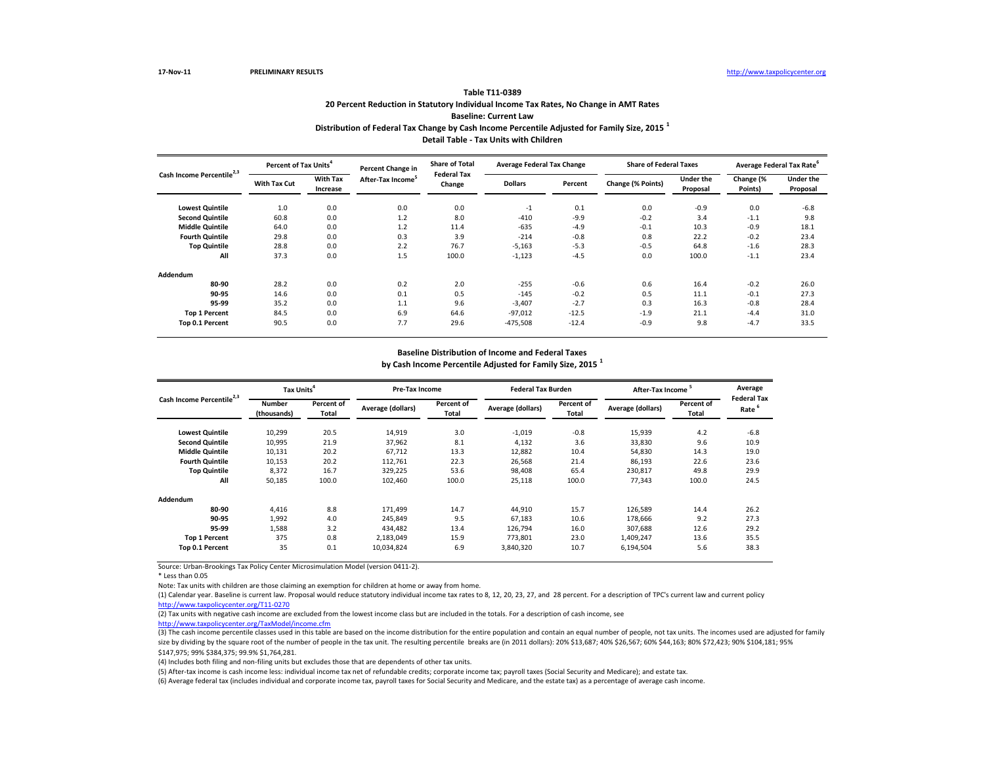Source: Urban-Brookings Tax Policy Center Microsimulation Model (version 0411-2).

\* Less than 0.05

Note: Tax units with children are those claiming an exemption for children at home or away from home.

(5) After-tax income is cash income less: individual income tax net of refundable credits; corporate income tax; payroll taxes (Social Security and Medicare); and estate tax. (6) Average federal tax (includes individual and corporate income tax, payroll taxes for Social Security and Medicare, and the estate tax) as a percentage of average cash income.

| Cash Income Percentile <sup>2,3</sup> |                     | <b>Percent of Tax Units</b> |                               | <b>Share of Total</b><br>Percent Change in | <b>Average Federal Tax Change</b> |         | <b>Share of Federal Taxes</b> |                       | Average Federal Tax Rate <sup>6</sup> |                              |
|---------------------------------------|---------------------|-----------------------------|-------------------------------|--------------------------------------------|-----------------------------------|---------|-------------------------------|-----------------------|---------------------------------------|------------------------------|
|                                       | <b>With Tax Cut</b> | <b>With Tax</b><br>Increase | After-Tax Income <sup>5</sup> | <b>Federal Tax</b><br>Change               | <b>Dollars</b>                    | Percent | Change (% Points)             | Under the<br>Proposal | Change (%<br>Points)                  | <b>Under the</b><br>Proposal |
| <b>Lowest Quintile</b>                | 1.0                 | 0.0                         | 0.0                           | 0.0                                        | $-1$                              | 0.1     | 0.0                           | $-0.9$                | 0.0                                   | $-6.8$                       |
| <b>Second Quintile</b>                | 60.8                | 0.0                         | 1.2                           | 8.0                                        | $-410$                            | $-9.9$  | $-0.2$                        | 3.4                   | $-1.1$                                | 9.8                          |
| <b>Middle Quintile</b>                | 64.0                | 0.0                         | 1.2                           | 11.4                                       | $-635$                            | $-4.9$  | $-0.1$                        | 10.3                  | $-0.9$                                | 18.1                         |
| <b>Fourth Quintile</b>                | 29.8                | 0.0                         | 0.3                           | 3.9                                        | $-214$                            | $-0.8$  | 0.8                           | 22.2                  | $-0.2$                                | 23.4                         |
| <b>Top Quintile</b>                   | 28.8                | 0.0                         | 2.2                           | 76.7                                       | $-5,163$                          | $-5.3$  | $-0.5$                        | 64.8                  | $-1.6$                                | 28.3                         |
| All                                   | 37.3                | 0.0                         | 1.5                           | 100.0                                      | $-1,123$                          | $-4.5$  | 0.0                           | 100.0                 | $-1.1$                                | 23.4                         |
| <b>Addendum</b>                       |                     |                             |                               |                                            |                                   |         |                               |                       |                                       |                              |
| 80-90                                 | 28.2                | 0.0                         | 0.2                           | 2.0                                        | $-255$                            | $-0.6$  | 0.6                           | 16.4                  | $-0.2$                                | 26.0                         |
| 90-95                                 | 14.6                | 0.0                         | 0.1                           | 0.5                                        | $-145$                            | $-0.2$  | 0.5                           | 11.1                  | $-0.1$                                | 27.3                         |
| 95-99                                 | 35.2                | 0.0                         | 1.1                           | 9.6                                        | $-3,407$                          | $-2.7$  | 0.3                           | 16.3                  | $-0.8$                                | 28.4                         |
| <b>Top 1 Percent</b>                  | 84.5                | 0.0                         | 6.9                           | 64.6                                       | $-97,012$                         | $-12.5$ | $-1.9$                        | 21.1                  | $-4.4$                                | 31.0                         |
| Top 0.1 Percent                       | 90.5                | 0.0                         | 7.7                           | 29.6                                       | $-475,508$                        | $-12.4$ | $-0.9$                        | 9.8                   | $-4.7$                                | 33.5                         |

| Cash Income Percentile <sup>2,3</sup> | Tax Units <sup>4</sup>       |                                   | Pre-Tax Income    |                            | <b>Federal Tax Burden</b> |                                   | <b>After-Tax Income</b> |                            | Average                                 |
|---------------------------------------|------------------------------|-----------------------------------|-------------------|----------------------------|---------------------------|-----------------------------------|-------------------------|----------------------------|-----------------------------------------|
|                                       | <b>Number</b><br>(thousands) | <b>Percent of</b><br><b>Total</b> | Average (dollars) | Percent of<br><b>Total</b> | Average (dollars)         | <b>Percent of</b><br><b>Total</b> | Average (dollars)       | Percent of<br><b>Total</b> | <b>Federal Tax</b><br>Rate <sup>6</sup> |
| <b>Lowest Quintile</b>                | 10,299                       | 20.5                              | 14,919            | 3.0                        | $-1,019$                  | $-0.8$                            | 15,939                  | 4.2                        | $-6.8$                                  |
| <b>Second Quintile</b>                | 10,995                       | 21.9                              | 37,962            | 8.1                        | 4,132                     | 3.6                               | 33,830                  | 9.6                        | 10.9                                    |
| <b>Middle Quintile</b>                | 10,131                       | 20.2                              | 67,712            | 13.3                       | 12,882                    | 10.4                              | 54,830                  | 14.3                       | 19.0                                    |
| <b>Fourth Quintile</b>                | 10,153                       | 20.2                              | 112,761           | 22.3                       | 26,568                    | 21.4                              | 86,193                  | 22.6                       | 23.6                                    |
| <b>Top Quintile</b>                   | 8,372                        | 16.7                              | 329,225           | 53.6                       | 98,408                    | 65.4                              | 230,817                 | 49.8                       | 29.9                                    |
| All                                   | 50,185                       | 100.0                             | 102,460           | 100.0                      | 25,118                    | 100.0                             | 77,343                  | 100.0                      | 24.5                                    |
| Addendum                              |                              |                                   |                   |                            |                           |                                   |                         |                            |                                         |
| 80-90                                 | 4,416                        | 8.8                               | 171,499           | 14.7                       | 44,910                    | 15.7                              | 126,589                 | 14.4                       | 26.2                                    |
| 90-95                                 | 1,992                        | 4.0                               | 245,849           | 9.5                        | 67,183                    | 10.6                              | 178,666                 | 9.2                        | 27.3                                    |
| 95-99                                 | 1,588                        | 3.2                               | 434,482           | 13.4                       | 126,794                   | 16.0                              | 307,688                 | 12.6                       | 29.2                                    |
| <b>Top 1 Percent</b>                  | 375                          | 0.8                               | 2,183,049         | 15.9                       | 773,801                   | 23.0                              | 1,409,247               | 13.6                       | 35.5                                    |
| Top 0.1 Percent                       | 35                           | 0.1                               | 10,034,824        | 6.9                        | 3,840,320                 | 10.7                              | 6,194,504               | 5.6                        | 38.3                                    |

(1) Calendar year. Baseline is current law. Proposal would reduce statutory individual income tax rates to 8, 12, 20, 23, 27, and 28 percent. For a description of TPC's current law and current policy [http://www.taxpolicycente](http://www.taxpolicycenter.org/T11-0270)r.org/T11-0270

(2) Tax units with negative cash income are excluded from the lowest income class but are included in the totals. For a description of cash income, see

[http://www.taxpolicycente](http://www.taxpolicycenter.org/TaxModel/income.cfm)r.org/TaxModel/income.cfm

(4) Includes both filing and non-filing units but excludes those that are dependents of other tax units.

### **Baseline Distribution of Income and Federal Taxes by Cash Income Percentile Adjusted for Family Size, 2015 <sup>1</sup>**

## **Distribution of Federal Tax Change by Cash Income Percentile Adjusted for Family Size, 2015 <sup>1</sup> Detail Table - Tax Units with Children**